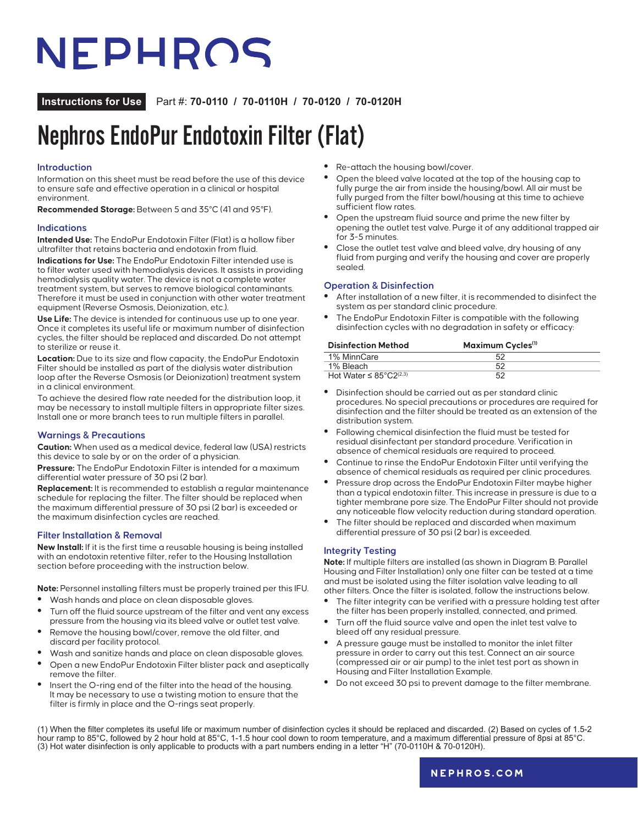## NEPHROS

**Instructions for Use** Part #: **70-0110 / 70-0110H / 70-0120 / 70-0120H**

## Nephros EndoPur Endotoxin Filter (Flat)

### **Introduction**

Information on this sheet must be read before the use of this device to ensure safe and effective operation in a clinical or hospital environment.

**Recommended Storage:** Between 5 and 35°C (41 and 95°F).

### **Indications**

**Intended Use:** The EndoPur Endotoxin Filter (Flat) is a hollow fiber ultrafilter that retains bacteria and endotoxin from fluid.

**Indications for Use:** The EndoPur Endotoxin Filter intended use is to filter water used with hemodialysis devices. It assists in providing hemodialysis quality water. The device is not a complete water treatment system, but serves to remove biological contaminants. Therefore it must be used in conjunction with other water treatment equipment (Reverse Osmosis, Deionization, etc.).

**Use Life:** The device is intended for continuous use up to one year. Once it completes its useful life or maximum number of disinfection cycles, the filter should be replaced and discarded. Do not attempt to sterilize or reuse it.

**Location:** Due to its size and flow capacity, the EndoPur Endotoxin Filter should be installed as part of the dialysis water distribution loop after the Reverse Osmosis (or Deionization) treatment system in a clinical environment.

To achieve the desired flow rate needed for the distribution loop, it may be necessary to install multiple filters in appropriate filter sizes. Install one or more branch tees to run multiple filters in parallel.

### **Warnings & Precautions**

**Caution:** When used as a medical device, federal law (USA) restricts this device to sale by or on the order of a physician.

**Pressure:** The EndoPur Endotoxin Filter is intended for a maximum differential water pressure of 30 psi (2 bar).

**Replacement:** It is recommended to establish a regular maintenance schedule for replacing the filter. The filter should be replaced when the maximum differential pressure of 30 psi (2 bar) is exceeded or the maximum disinfection cycles are reached.

### **Filter Installation & Removal**

**New Install:** If it is the first time a reusable housing is being installed with an endotoxin retentive filter, refer to the Housing Installation section before proceeding with the instruction below.

**Note:** Personnel installing filters must be properly trained per this IFU.

- **•** Wash hands and place on clean disposable gloves.
- **•** Turn off the fluid source upstream of the filter and vent any excess pressure from the housing via its bleed valve or outlet test valve.
- **•** Remove the housing bowl/cover, remove the old filter, and discard per facility protocol.
- **•** Wash and sanitize hands and place on clean disposable gloves.
- **•** Open a new EndoPur Endotoxin Filter blister pack and aseptically remove the filter.
- **•** Insert the O-ring end of the filter into the head of the housing. It may be necessary to use a twisting motion to ensure that the filter is firmly in place and the O-rings seat properly.
- **•** Re-attach the housing bowl/cover.
- **•** Open the bleed valve located at the top of the housing cap to fully purge the air from inside the housing/bowl. All air must be fully purged from the filter bowl/housing at this time to achieve sufficient flow rates.
- **•** Open the upstream fluid source and prime the new filter by opening the outlet test valve. Purge it of any additional trapped air for 3-5 minutes.
- **•** Close the outlet test valve and bleed valve, dry housing of any fluid from purging and verify the housing and cover are properly sealed.

### **Operation & Disinfection**

- **•** After installation of a new filter, it is recommended to disinfect the system as per standard clinic procedure.
- **•** The EndoPur Endotoxin Filter is compatible with the following disinfection cycles with no degradation in safety or efficacy:

| <b>Disinfection Method</b>                      | Maximum Cycles <sup>(1)</sup> |  |
|-------------------------------------------------|-------------------------------|--|
| 1% MinnCare                                     |                               |  |
| 1% Bleach                                       | 52                            |  |
| Hot Water $\leq 85^{\circ}$ C2 <sup>(2,3)</sup> |                               |  |

- **•** Disinfection should be carried out as per standard clinic procedures. No special precautions or procedures are required for disinfection and the filter should be treated as an extension of the distribution system.
- **•** Following chemical disinfection the fluid must be tested for residual disinfectant per standard procedure. Verification in absence of chemical residuals are required to proceed.
- **•** Continue to rinse the EndoPur Endotoxin Filter until verifying the absence of chemical residuals as required per clinic procedures.
- **•** Pressure drop across the EndoPur Endotoxin Filter maybe higher than a typical endotoxin filter. This increase in pressure is due to a tighter membrane pore size. The EndoPur Filter should not provide any noticeable flow velocity reduction during standard operation.
- **•** The filter should be replaced and discarded when maximum differential pressure of 30 psi (2 bar) is exceeded.

### **Integrity Testing**

**Note:** If multiple filters are installed (as shown in Diagram B: Parallel Housing and Filter Installation) only one filter can be tested at a time and must be isolated using the filter isolation valve leading to all other filters. Once the filter is isolated, follow the instructions below.

- **•** The filter integrity can be verified with a pressure holding test after the filter has been properly installed, connected, and primed.
- **•** Turn off the fluid source valve and open the inlet test valve to bleed off any residual pressure.
- **•** A pressure gauge must be installed to monitor the inlet filter pressure in order to carry out this test. Connect an air source (compressed air or air pump) to the inlet test port as shown in Housing and Filter Installation Example.
- **•** Do not exceed 30 psi to prevent damage to the filter membrane.

(1) When the filter completes its useful life or maximum number of disinfection cycles it should be replaced and discarded. (2) Based on cycles of 1.5-2 hour ramp to 85°C, followed by 2 hour hold at 85°C, 1-1.5 hour cool down to room temperature, and a maximum differential pressure of 8psi at 85°C. (3) Hot water disinfection is only applicable to products with a part numbers ending in a letter "H" (70-0110H & 70-0120H).

**[nephros.com](https://www.nephros.com/)**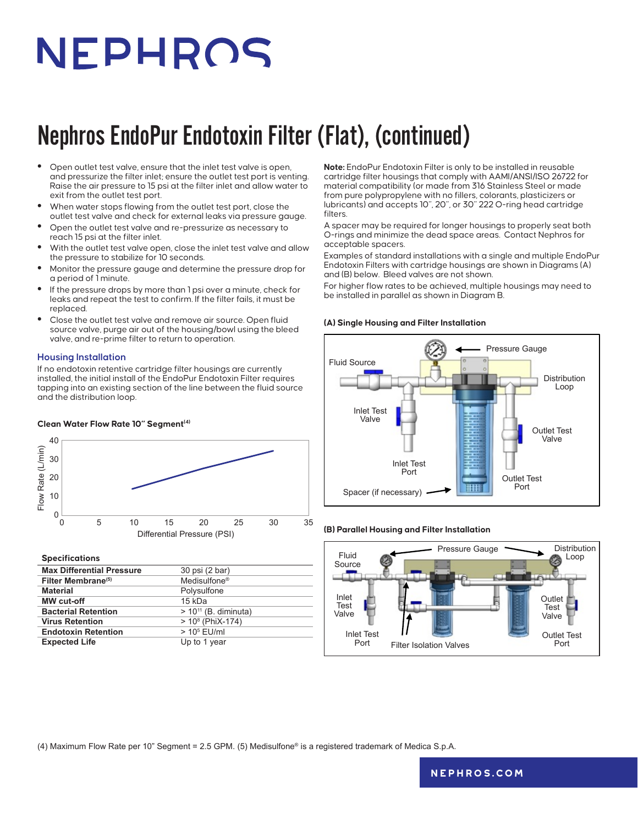# NEPHROS

## Nephros EndoPur Endotoxin Filter (Flat), (continued)

- **•** Open outlet test valve, ensure that the inlet test valve is open, and pressurize the filter inlet; ensure the outlet test port is venting. Raise the air pressure to 15 psi at the filter inlet and allow water to exit from the outlet test port.
- **•** When water stops flowing from the outlet test port, close the outlet test valve and check for external leaks via pressure gauge.
- **•** Open the outlet test valve and re-pressurize as necessary to reach 15 psi at the filter inlet.
- **•** With the outlet test valve open, close the inlet test valve and allow the pressure to stabilize for 10 seconds.
- **•** Monitor the pressure gauge and determine the pressure drop for a period of 1 minute.
- **•** If the pressure drops by more than 1 psi over a minute, check for leaks and repeat the test to confirm. If the filter fails, it must be replaced.
- **•** Close the outlet test valve and remove air source. Open fluid source valve, purge air out of the housing/bowl using the bleed valve, and re-prime filter to return to operation.

### **Housing Installation**

If no endotoxin retentive cartridge filter housings are currently installed, the initial install of the EndoPur Endotoxin Filter requires tapping into an existing section of the line between the fluid source and the distribution loop.

### **Clean Water Flow Rate 10" Segment(4)**



### **Specifications**

| <b>Max Differential Pressure</b> | 30 psi (2 bar)            |
|----------------------------------|---------------------------|
| Filter Membrane <sup>(5)</sup>   | Medisulfone <sup>®</sup>  |
| <b>Material</b>                  | Polysulfone               |
| <b>MW</b> cut-off                | 15 kDa                    |
| <b>Bacterial Retention</b>       | $> 10^{11}$ (B. diminuta) |
| <b>Virus Retention</b>           | $> 108$ (PhiX-174)        |
| <b>Endotoxin Retention</b>       | $> 105$ EU/ml             |
| <b>Expected Life</b>             | Up to 1 year              |

**Note:** EndoPur Endotoxin Filter is only to be installed in reusable cartridge filter housings that comply with AAMI/ANSI/ISO 26722 for material compatibility (or made from 316 Stainless Steel or made from pure polypropylene with no fillers, colorants, plasticizers or lubricants) and accepts 10", 20", or 30" 222 O-ring head cartridge filters.

A spacer may be required for longer housings to properly seat both O-rings and minimize the dead space areas. Contact Nephros for acceptable spacers.

Examples of standard installations with a single and multiple EndoPur Endotoxin Filters with cartridge housings are shown in Diagrams (A) and (B) below. Bleed valves are not shown.

For higher flow rates to be achieved, multiple housings may need to be installed in parallel as shown in Diagram B.

#### **(A) Single Housing and Filter Installation**



### **(B) Parallel Housing and Filter Installation**



(4) Maximum Flow Rate per 10" Segment = 2.5 GPM. (5) Medisulfone® is a registered trademark of Medica S.p.A.

### **[nephros.com](https://www.nephros.com/)**